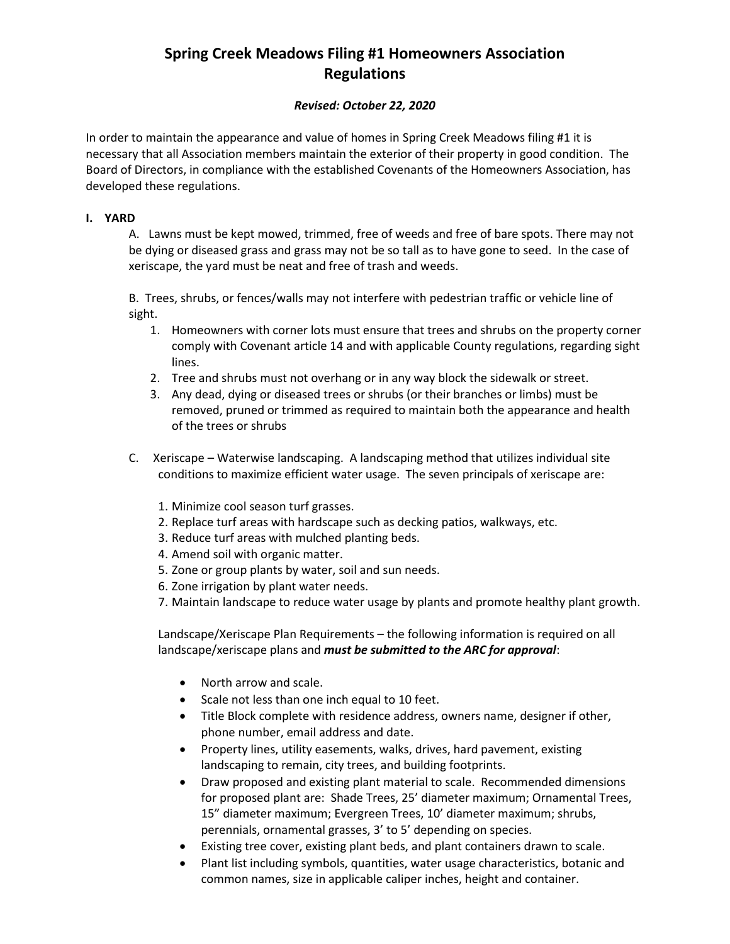# **Spring Creek Meadows Filing #1 Homeowners Association Regulations**

## *Revised: October 22, 2020*

In order to maintain the appearance and value of homes in Spring Creek Meadows filing #1 it is necessary that all Association members maintain the exterior of their property in good condition. The Board of Directors, in compliance with the established Covenants of the Homeowners Association, has developed these regulations.

### **I. YARD**

A. Lawns must be kept mowed, trimmed, free of weeds and free of bare spots. There may not be dying or diseased grass and grass may not be so tall as to have gone to seed. In the case of xeriscape, the yard must be neat and free of trash and weeds.

B. Trees, shrubs, or fences/walls may not interfere with pedestrian traffic or vehicle line of sight.

- 1. Homeowners with corner lots must ensure that trees and shrubs on the property corner comply with Covenant article 14 and with applicable County regulations, regarding sight lines.
- 2. Tree and shrubs must not overhang or in any way block the sidewalk or street.
- 3. Any dead, dying or diseased trees or shrubs (or their branches or limbs) must be removed, pruned or trimmed as required to maintain both the appearance and health of the trees or shrubs
- C. Xeriscape Waterwise landscaping. A landscaping method that utilizes individual site conditions to maximize efficient water usage. The seven principals of xeriscape are:
	- 1. Minimize cool season turf grasses.
	- 2. Replace turf areas with hardscape such as decking patios, walkways, etc.
	- 3. Reduce turf areas with mulched planting beds.
	- 4. Amend soil with organic matter.
	- 5. Zone or group plants by water, soil and sun needs.
	- 6. Zone irrigation by plant water needs.
	- 7. Maintain landscape to reduce water usage by plants and promote healthy plant growth.

Landscape/Xeriscape Plan Requirements – the following information is required on all landscape/xeriscape plans and *must be submitted to the ARC for approval*:

- North arrow and scale.
- Scale not less than one inch equal to 10 feet.
- Title Block complete with residence address, owners name, designer if other, phone number, email address and date.
- Property lines, utility easements, walks, drives, hard pavement, existing landscaping to remain, city trees, and building footprints.
- Draw proposed and existing plant material to scale. Recommended dimensions for proposed plant are: Shade Trees, 25' diameter maximum; Ornamental Trees, 15" diameter maximum; Evergreen Trees, 10' diameter maximum; shrubs, perennials, ornamental grasses, 3' to 5' depending on species.
- Existing tree cover, existing plant beds, and plant containers drawn to scale.
- Plant list including symbols, quantities, water usage characteristics, botanic and common names, size in applicable caliper inches, height and container.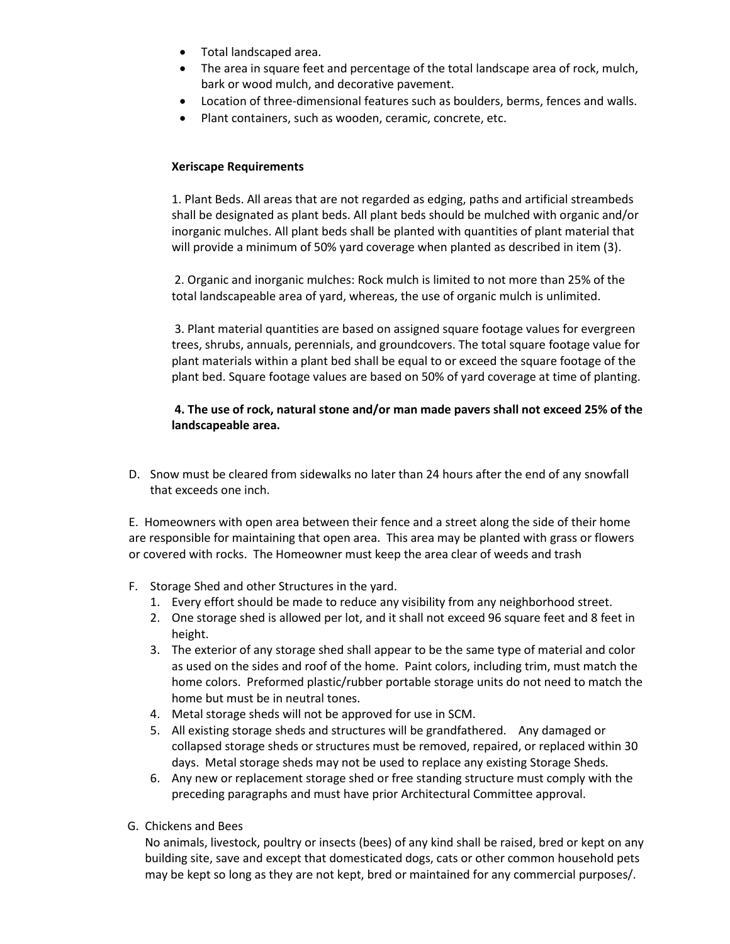- Total landscaped area.
- The area in square feet and percentage of the total landscape area of rock, mulch, bark or wood mulch, and decorative pavement.
- Location of three-dimensional features such as boulders, berms, fences and walls.
- Plant containers, such as wooden, ceramic, concrete, etc.

### **Xeriscape Requirements**

1. Plant Beds. All areas that are not regarded as edging, paths and artificial streambeds shall be designated as plant beds. All plant beds should be mulched with organic and/or inorganic mulches. All plant beds shall be planted with quantities of plant material that will provide a minimum of 50% yard coverage when planted as described in item (3).

2. Organic and inorganic mulches: Rock mulch is limited to not more than 25% of the total landscapeable area of yard, whereas, the use of organic mulch is unlimited.

3. Plant material quantities are based on assigned square footage values for evergreen trees, shrubs, annuals, perennials, and groundcovers. The total square footage value for plant materials within a plant bed shall be equal to or exceed the square footage of the plant bed. Square footage values are based on 50% of yard coverage at time of planting.

## **4. The use of rock, natural stone and/or man made pavers shall not exceed 25% of the landscapeable area.**

D. Snow must be cleared from sidewalks no later than 24 hours after the end of any snowfall that exceeds one inch.

E. Homeowners with open area between their fence and a street along the side of their home are responsible for maintaining that open area. This area may be planted with grass or flowers or covered with rocks. The Homeowner must keep the area clear of weeds and trash

- F. Storage Shed and other Structures in the yard.
	- 1. Every effort should be made to reduce any visibility from any neighborhood street.
	- 2. One storage shed is allowed per lot, and it shall not exceed 96 square feet and 8 feet in height.
	- 3. The exterior of any storage shed shall appear to be the same type of material and color as used on the sides and roof of the home. Paint colors, including trim, must match the home colors. Preformed plastic/rubber portable storage units do not need to match the home but must be in neutral tones.
	- 4. Metal storage sheds will not be approved for use in SCM.
	- 5. All existing storage sheds and structures will be grandfathered. Any damaged or collapsed storage sheds or structures must be removed, repaired, or replaced within 30 days. Metal storage sheds may not be used to replace any existing Storage Sheds.
	- 6. Any new or replacement storage shed or free standing structure must comply with the preceding paragraphs and must have prior Architectural Committee approval.
- G. Chickens and Bees

No animals, livestock, poultry or insects (bees) of any kind shall be raised, bred or kept on any building site, save and except that domesticated dogs, cats or other common household pets may be kept so long as they are not kept, bred or maintained for any commercial purposes/.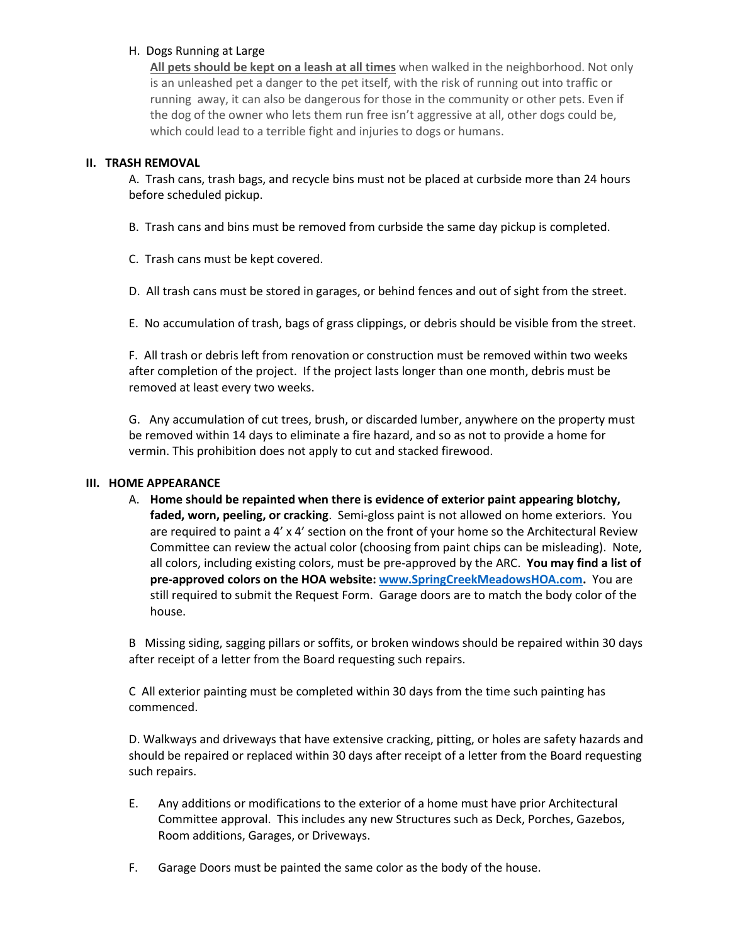## H. Dogs Running at Large

**All pets should be kept on a leash at all times** when walked in the neighborhood. Not only is an unleashed pet a danger to the pet itself, with the risk of running out into traffic or running away, it can also be dangerous for those in the community or other pets. Even if the dog of the owner who lets them run free isn't aggressive at all, other dogs could be, which could lead to a terrible fight and injuries to dogs or humans.

## **II. TRASH REMOVAL**

A. Trash cans, trash bags, and recycle bins must not be placed at curbside more than 24 hours before scheduled pickup.

B. Trash cans and bins must be removed from curbside the same day pickup is completed.

C. Trash cans must be kept covered.

D. All trash cans must be stored in garages, or behind fences and out of sight from the street.

E. No accumulation of trash, bags of grass clippings, or debris should be visible from the street.

F. All trash or debris left from renovation or construction must be removed within two weeks after completion of the project. If the project lasts longer than one month, debris must be removed at least every two weeks.

G. Any accumulation of cut trees, brush, or discarded lumber, anywhere on the property must be removed within 14 days to eliminate a fire hazard, and so as not to provide a home for vermin. This prohibition does not apply to cut and stacked firewood.

#### **III. HOME APPEARANCE**

A. **Home should be repainted when there is evidence of exterior paint appearing blotchy, faded, worn, peeling, or cracking**. Semi-gloss paint is not allowed on home exteriors. You are required to paint a 4' x 4' section on the front of your home so the Architectural Review Committee can review the actual color (choosing from paint chips can be misleading). Note, all colors, including existing colors, must be pre-approved by the ARC. **You may find a list of pre-approved colors on the HOA website: [www.SpringCreekMeadowsHOA.com.](http://www.springcreekmeadowshoa.com/)** You are still required to submit the Request Form. Garage doors are to match the body color of the house.

B Missing siding, sagging pillars or soffits, or broken windows should be repaired within 30 days after receipt of a letter from the Board requesting such repairs.

C All exterior painting must be completed within 30 days from the time such painting has commenced.

D. Walkways and driveways that have extensive cracking, pitting, or holes are safety hazards and should be repaired or replaced within 30 days after receipt of a letter from the Board requesting such repairs.

- E. Any additions or modifications to the exterior of a home must have prior Architectural Committee approval. This includes any new Structures such as Deck, Porches, Gazebos, Room additions, Garages, or Driveways.
- F. Garage Doors must be painted the same color as the body of the house.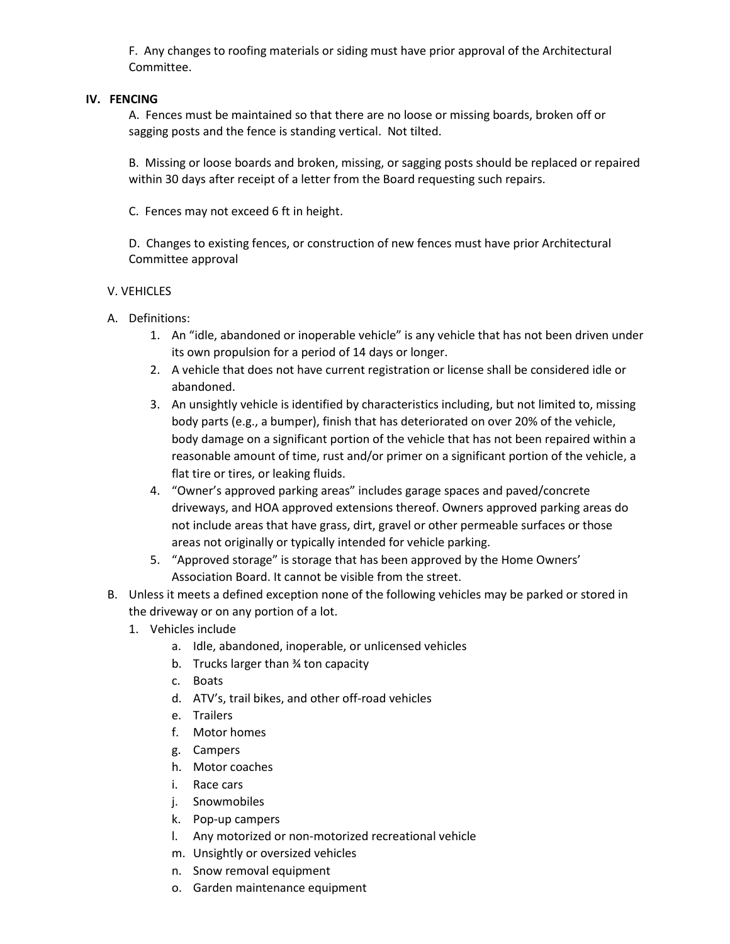F. Any changes to roofing materials or siding must have prior approval of the Architectural Committee.

#### **IV. FENCING**

A. Fences must be maintained so that there are no loose or missing boards, broken off or sagging posts and the fence is standing vertical. Not tilted.

B. Missing or loose boards and broken, missing, or sagging posts should be replaced or repaired within 30 days after receipt of a letter from the Board requesting such repairs.

C. Fences may not exceed 6 ft in height.

D. Changes to existing fences, or construction of new fences must have prior Architectural Committee approval

#### V. VEHICLES

- A. Definitions:
	- 1. An "idle, abandoned or inoperable vehicle" is any vehicle that has not been driven under its own propulsion for a period of 14 days or longer.
	- 2. A vehicle that does not have current registration or license shall be considered idle or abandoned.
	- 3. An unsightly vehicle is identified by characteristics including, but not limited to, missing body parts (e.g., a bumper), finish that has deteriorated on over 20% of the vehicle, body damage on a significant portion of the vehicle that has not been repaired within a reasonable amount of time, rust and/or primer on a significant portion of the vehicle, a flat tire or tires, or leaking fluids.
	- 4. "Owner's approved parking areas" includes garage spaces and paved/concrete driveways, and HOA approved extensions thereof. Owners approved parking areas do not include areas that have grass, dirt, gravel or other permeable surfaces or those areas not originally or typically intended for vehicle parking.
	- 5. "Approved storage" is storage that has been approved by the Home Owners' Association Board. It cannot be visible from the street.
- B. Unless it meets a defined exception none of the following vehicles may be parked or stored in the driveway or on any portion of a lot.
	- 1. Vehicles include
		- a. Idle, abandoned, inoperable, or unlicensed vehicles
		- b. Trucks larger than ¾ ton capacity
		- c. Boats
		- d. ATV's, trail bikes, and other off-road vehicles
		- e. Trailers
		- f. Motor homes
		- g. Campers
		- h. Motor coaches
		- i. Race cars
		- j. Snowmobiles
		- k. Pop-up campers
		- l. Any motorized or non-motorized recreational vehicle
		- m. Unsightly or oversized vehicles
		- n. Snow removal equipment
		- o. Garden maintenance equipment